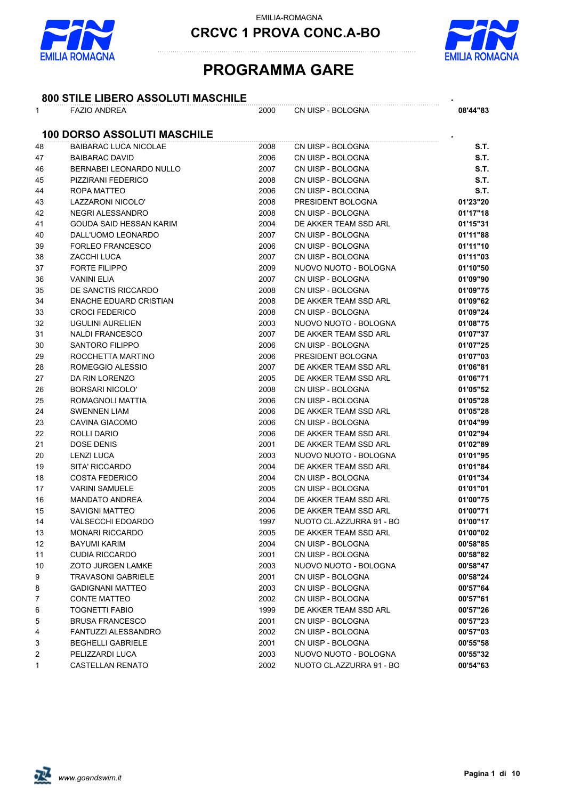

**CRCVC 1 PROVA CONC.A-BO**



### **PROGRAMMA GARE**

| <b>800 STILE LIBERO ASSOLUTI MASCHILE</b> |                                    |      |                          |             |
|-------------------------------------------|------------------------------------|------|--------------------------|-------------|
| $\mathbf{1}$                              | <b>FAZIO ANDREA</b>                | 2000 | CN UISP - BOLOGNA        | 08'44"83    |
|                                           | <b>100 DORSO ASSOLUTI MASCHILE</b> |      |                          |             |
| 48                                        | <b>BAIBARAC LUCA NICOLAE</b>       | 2008 | CN UISP - BOLOGNA        | S.T.        |
| 47                                        | <b>BAIBARAC DAVID</b>              | 2006 | CN UISP - BOLOGNA        | S.T.        |
| 46                                        | BERNABEI LEONARDO NULLO            | 2007 | CN UISP - BOLOGNA        | S.T.        |
| 45                                        | PIZZIRANI FEDERICO                 | 2008 | CN UISP - BOLOGNA        | <b>S.T.</b> |
| 44                                        | ROPA MATTEO                        | 2006 | CN UISP - BOLOGNA        | S.T.        |
| 43                                        | LAZZARONI NICOLO'                  | 2008 | PRESIDENT BOLOGNA        | 01'23"20    |
| 42                                        | NEGRI ALESSANDRO                   | 2008 | CN UISP - BOLOGNA        | 01'17"18    |
| 41                                        | GOUDA SAID HESSAN KARIM            | 2004 | DE AKKER TEAM SSD ARL    | 01'15"31    |
| 40                                        | DALL'UOMO LEONARDO                 | 2007 | CN UISP - BOLOGNA        | 01'11"88    |
| 39                                        | <b>FORLEO FRANCESCO</b>            | 2006 | CN UISP - BOLOGNA        | 01'11"10    |
| 38                                        | ZACCHI LUCA                        | 2007 | CN UISP - BOLOGNA        | 01'11"03    |
| 37                                        | <b>FORTE FILIPPO</b>               | 2009 | NUOVO NUOTO - BOLOGNA    | 01'10"50    |
| 36                                        | <b>VANINI ELIA</b>                 | 2007 | CN UISP - BOLOGNA        | 01'09"90    |
| 35                                        | DE SANCTIS RICCARDO                | 2008 | CN UISP - BOLOGNA        | 01'09"75    |
| 34                                        | <b>ENACHE EDUARD CRISTIAN</b>      | 2008 | DE AKKER TEAM SSD ARL    | 01'09"62    |
| 33                                        | <b>CROCI FEDERICO</b>              | 2008 | CN UISP - BOLOGNA        | 01'09"24    |
| 32                                        | <b>UGULINI AURELIEN</b>            | 2003 | NUOVO NUOTO - BOLOGNA    | 01'08"75    |
| 31                                        | <b>NALDI FRANCESCO</b>             | 2007 | DE AKKER TEAM SSD ARL    | 01'07"37    |
| 30                                        | SANTORO FILIPPO                    | 2006 | CN UISP - BOLOGNA        | 01'07"25    |
| 29                                        | ROCCHETTA MARTINO                  | 2006 | PRESIDENT BOLOGNA        | 01'07"03    |
| 28                                        | ROMEGGIO ALESSIO                   | 2007 | DE AKKER TEAM SSD ARL    | 01'06"81    |
| 27                                        | DA RIN LORENZO                     | 2005 | DE AKKER TEAM SSD ARL    | 01'06"71    |
| 26                                        | <b>BORSARI NICOLO'</b>             | 2008 | CN UISP - BOLOGNA        | 01'05"52    |
| 25                                        | ROMAGNOLI MATTIA                   | 2006 | CN UISP - BOLOGNA        | 01'05"28    |
| 24                                        | <b>SWENNEN LIAM</b>                | 2006 | DE AKKER TEAM SSD ARL    | 01'05"28    |
| 23                                        | <b>CAVINA GIACOMO</b>              | 2006 | CN UISP - BOLOGNA        | 01'04"99    |
| 22                                        | ROLLI DARIO                        | 2006 | DE AKKER TEAM SSD ARL    | 01'02"94    |
| 21                                        | <b>DOSE DENIS</b>                  | 2001 | DE AKKER TEAM SSD ARL    | 01'02"89    |
| 20                                        | <b>LENZI LUCA</b>                  | 2003 | NUOVO NUOTO - BOLOGNA    | 01'01"95    |
| 19                                        | <b>SITA' RICCARDO</b>              | 2004 | DE AKKER TEAM SSD ARL    | 01'01"84    |
| 18                                        | <b>COSTA FEDERICO</b>              | 2004 | CN UISP - BOLOGNA        | 01'01"34    |
| 17                                        | <b>VARINI SAMUELE</b>              | 2005 | CN UISP - BOLOGNA        | 01'01"01    |
| 16                                        | MANDATO ANDREA                     | 2004 | DE AKKER TEAM SSD ARL    | 01'00"75    |
| 15                                        | SAVIGNI MATTEO                     | 2006 | DE AKKER TEAM SSD ARL    | 01'00"71    |
| 14                                        | <b>VALSECCHI EDOARDO</b>           | 1997 | NUOTO CL.AZZURRA 91 - BO | 01'00"17    |
| 13                                        | <b>MONARI RICCARDO</b>             | 2005 | DE AKKER TEAM SSD ARL    | 01'00"02    |
| 12                                        | BAYUMI KARIM                       | 2004 | CN UISP - BOLOGNA        | 00'58"85    |
| 11                                        | <b>CUDIA RICCARDO</b>              | 2001 | CN UISP - BOLOGNA        | 00'58"82    |
| 10                                        | <b>ZOTO JURGEN LAMKE</b>           | 2003 | NUOVO NUOTO - BOLOGNA    | 00'58"47    |
| 9                                         | <b>TRAVASONI GABRIELE</b>          | 2001 | CN UISP - BOLOGNA        | 00'58"24    |
| 8                                         | <b>GADIGNANI MATTEO</b>            | 2003 | CN UISP - BOLOGNA        | 00'57"64    |
| 7                                         | <b>CONTE MATTEO</b>                | 2002 | CN UISP - BOLOGNA        | 00'57"61    |
| 6                                         | <b>TOGNETTI FABIO</b>              | 1999 | DE AKKER TEAM SSD ARL    | 00'57"26    |
| 5                                         | <b>BRUSA FRANCESCO</b>             | 2001 | CN UISP - BOLOGNA        | 00'57"23    |
| 4                                         | FANTUZZI ALESSANDRO                | 2002 | CN UISP - BOLOGNA        | 00'57"03    |
| 3                                         | <b>BEGHELLI GABRIELE</b>           | 2001 | CN UISP - BOLOGNA        | 00'55"58    |
| $\overline{2}$                            | PELIZZARDI LUCA                    | 2003 | NUOVO NUOTO - BOLOGNA    | 00'55"32    |
| $\mathbf{1}$                              | <b>CASTELLAN RENATO</b>            | 2002 | NUOTO CL.AZZURRA 91 - BO | 00'54"63    |

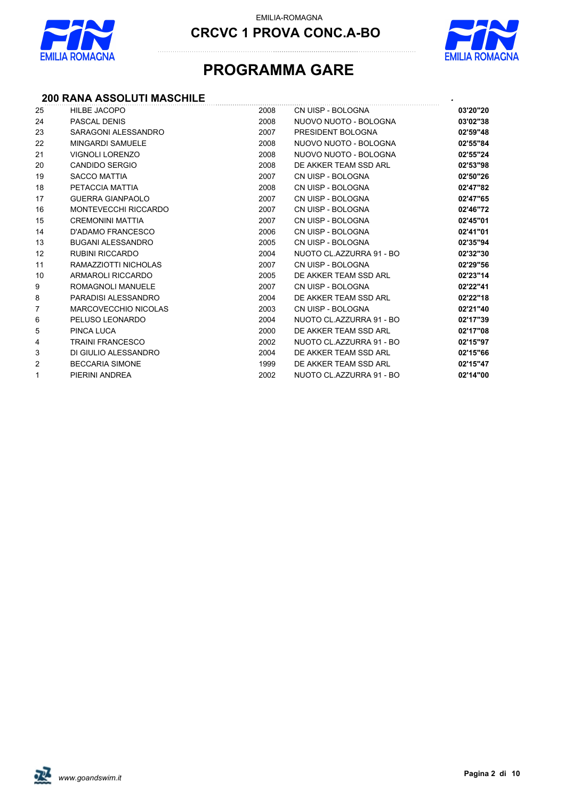

**CRCVC 1 PROVA CONC.A-BO**



# **PROGRAMMA GARE**

#### **200 RANA ASSOLUTI MASCHILE** *.*

| 25             | <b>HILBE JACOPO</b>      | 2008 | CN UISP - BOLOGNA        | 03'20"20 |
|----------------|--------------------------|------|--------------------------|----------|
| 24             | <b>PASCAL DENIS</b>      | 2008 | NUOVO NUOTO - BOLOGNA    | 03'02"38 |
| 23             | SARAGONI ALESSANDRO      | 2007 | PRESIDENT BOLOGNA        | 02'59"48 |
| 22             | <b>MINGARDI SAMUELE</b>  | 2008 | NUOVO NUOTO - BOLOGNA    | 02'55"84 |
| 21             | VIGNOLI LORENZO          | 2008 | NUOVO NUOTO - BOLOGNA    | 02'55"24 |
| 20             | <b>CANDIDO SERGIO</b>    | 2008 | DE AKKER TEAM SSD ARL    | 02'53"98 |
| 19             | <b>SACCO MATTIA</b>      | 2007 | CN UISP - BOLOGNA        | 02'50"26 |
| 18             | PETACCIA MATTIA          | 2008 | CN UISP - BOLOGNA        | 02'47"82 |
| 17             | <b>GUERRA GIANPAOLO</b>  | 2007 | CN UISP - BOLOGNA        | 02'47"65 |
| 16             | MONTEVECCHI RICCARDO     | 2007 | CN UISP - BOLOGNA        | 02'46"72 |
| 15             | <b>CREMONINI MATTIA</b>  | 2007 | CN UISP - BOLOGNA        | 02'45"01 |
| 14             | <b>D'ADAMO FRANCESCO</b> | 2006 | CN UISP - BOLOGNA        | 02'41"01 |
| 13             | <b>BUGANI ALESSANDRO</b> | 2005 | CN UISP - BOLOGNA        | 02'35"94 |
| 12             | <b>RUBINI RICCARDO</b>   | 2004 | NUOTO CL.AZZURRA 91 - BO | 02'32"30 |
| 11             | RAMAZZIOTTI NICHOLAS     | 2007 | CN UISP - BOLOGNA        | 02'29"56 |
| 10             | ARMAROLI RICCARDO        | 2005 | DE AKKER TEAM SSD ARL    | 02'23"14 |
| 9              | ROMAGNOLI MANUELE        | 2007 | CN UISP - BOLOGNA        | 02'22"41 |
| 8              | PARADISI ALESSANDRO      | 2004 | DE AKKER TEAM SSD ARL    | 02'22"18 |
| $\overline{7}$ | MARCOVECCHIO NICOLAS     | 2003 | CN UISP - BOLOGNA        | 02'21"40 |
| 6              | PELUSO LEONARDO          | 2004 | NUOTO CL.AZZURRA 91 - BO | 02'17"39 |
| 5              | PINCA LUCA               | 2000 | DE AKKER TEAM SSD ARL    | 02'17"08 |
| 4              | <b>TRAINI FRANCESCO</b>  | 2002 | NUOTO CL.AZZURRA 91 - BO | 02'15"97 |
| 3              | DI GIULIO ALESSANDRO     | 2004 | DE AKKER TEAM SSD ARL    | 02'15"66 |
| $\overline{2}$ | <b>BECCARIA SIMONE</b>   | 1999 | DE AKKER TEAM SSD ARL    | 02'15"47 |
| $\mathbf{1}$   | PIERINI ANDREA           | 2002 | NUOTO CL.AZZURRA 91 - BO | 02'14"00 |

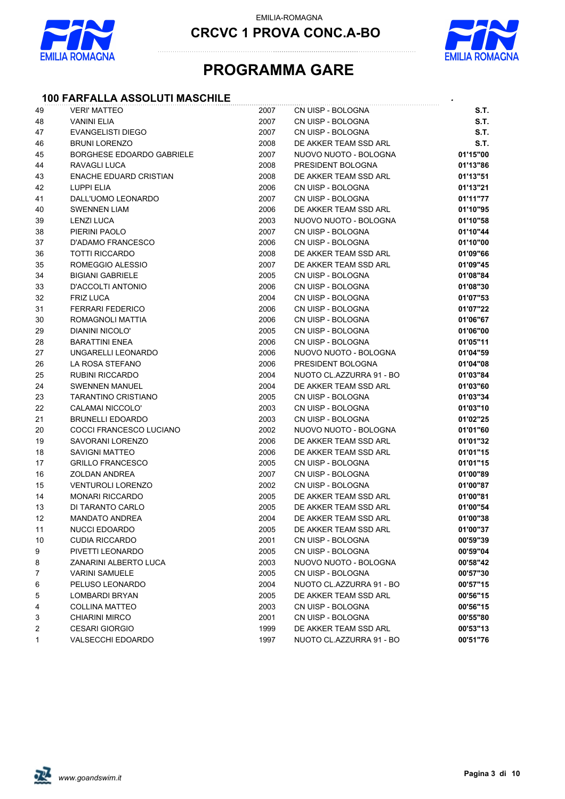

**CRCVC 1 PROVA CONC.A-BO**



## **PROGRAMMA GARE**

#### **100 FARFALLA ASSOLUTI MASCHILE** *.*

| 49     | <b>VERI' MATTEO</b>           | 2007 | CN UISP - BOLOGNA        | S.T.     |
|--------|-------------------------------|------|--------------------------|----------|
| 48     | <b>VANINI ELIA</b>            | 2007 | CN UISP - BOLOGNA        | S.T.     |
| 47     | EVANGELISTI DIEGO             | 2007 | CN UISP - BOLOGNA        | S.T.     |
| 46     | <b>BRUNI LORENZO</b>          | 2008 | DE AKKER TEAM SSD ARL    | S.T.     |
| 45     | BORGHESE EDOARDO GABRIELE     | 2007 | NUOVO NUOTO - BOLOGNA    | 01'15"00 |
| 44     | <b>RAVAGLI LUCA</b>           | 2008 | PRESIDENT BOLOGNA        | 01'13"86 |
| 43     | <b>ENACHE EDUARD CRISTIAN</b> | 2008 | DE AKKER TEAM SSD ARL    | 01'13"51 |
| 42     | LUPPI ELIA                    | 2006 | CN UISP - BOLOGNA        | 01'13"21 |
| 41     | DALL'UOMO LEONARDO            | 2007 | CN UISP - BOLOGNA        | 01'11"77 |
| 40     | <b>SWENNEN LIAM</b>           | 2006 | DE AKKER TEAM SSD ARL    | 01'10"95 |
| 39     | <b>LENZI LUCA</b>             | 2003 | NUOVO NUOTO - BOLOGNA    | 01'10"58 |
| 38     | PIERINI PAOLO                 | 2007 | CN UISP - BOLOGNA        | 01'10"44 |
| 37     | <b>D'ADAMO FRANCESCO</b>      | 2006 | CN UISP - BOLOGNA        | 01'10"00 |
| 36     | <b>TOTTI RICCARDO</b>         | 2008 | DE AKKER TEAM SSD ARL    | 01'09"66 |
| 35     | ROMEGGIO ALESSIO              | 2007 | DE AKKER TEAM SSD ARL    | 01'09"45 |
| 34     | <b>BIGIANI GABRIELE</b>       | 2005 | CN UISP - BOLOGNA        | 01'08"84 |
| 33     | D'ACCOLTI ANTONIO             | 2006 | CN UISP - BOLOGNA        | 01'08"30 |
| 32     | <b>FRIZ LUCA</b>              | 2004 | CN UISP - BOLOGNA        | 01'07"53 |
| 31     | <b>FERRARI FEDERICO</b>       | 2006 | CN UISP - BOLOGNA        | 01'07"22 |
| $30\,$ | ROMAGNOLI MATTIA              | 2006 | CN UISP - BOLOGNA        | 01'06"67 |
| 29     | DIANINI NICOLO'               | 2005 | CN UISP - BOLOGNA        | 01'06"00 |
| 28     | <b>BARATTINI ENEA</b>         | 2006 | CN UISP - BOLOGNA        | 01'05"11 |
| 27     | UNGARELLI LEONARDO            | 2006 | NUOVO NUOTO - BOLOGNA    | 01'04"59 |
| 26     | LA ROSA STEFANO               | 2006 | PRESIDENT BOLOGNA        | 01'04"08 |
| 25     | RUBINI RICCARDO               | 2004 | NUOTO CL.AZZURRA 91 - BO | 01'03"84 |
| 24     | <b>SWENNEN MANUEL</b>         | 2004 | DE AKKER TEAM SSD ARL    | 01'03"60 |
| 23     | TARANTINO CRISTIANO           | 2005 | CN UISP - BOLOGNA        | 01'03"34 |
| 22     | CALAMAI NICCOLO'              | 2003 | CN UISP - BOLOGNA        | 01'03"10 |
| 21     | <b>BRUNELLI EDOARDO</b>       | 2003 | CN UISP - BOLOGNA        | 01'02"25 |
| 20     | COCCI FRANCESCO LUCIANO       | 2002 | NUOVO NUOTO - BOLOGNA    | 01'01"60 |
| 19     | SAVORANI LORENZO              | 2006 | DE AKKER TEAM SSD ARL    | 01'01"32 |
| 18     | <b>SAVIGNI MATTEO</b>         | 2006 | DE AKKER TEAM SSD ARL    | 01'01"15 |
| 17     | <b>GRILLO FRANCESCO</b>       | 2005 | CN UISP - BOLOGNA        | 01'01"15 |
| 16     | <b>ZOLDAN ANDREA</b>          | 2007 | CN UISP - BOLOGNA        | 01'00"89 |
| 15     | <b>VENTUROLI LORENZO</b>      | 2002 | CN UISP - BOLOGNA        | 01'00"87 |
| 14     | <b>MONARI RICCARDO</b>        | 2005 | DE AKKER TEAM SSD ARL    | 01'00"81 |
| 13     | DI TARANTO CARLO              | 2005 | DE AKKER TEAM SSD ARL    | 01'00"54 |
| 12     | <b>MANDATO ANDREA</b>         | 2004 | DE AKKER TEAM SSD ARL    | 01'00"38 |
| 11     | NUCCI EDOARDO                 | 2005 | DE AKKER TEAM SSD ARL    | 01'00"37 |
| 10     | <b>CUDIA RICCARDO</b>         | 2001 | CN UISP - BOLOGNA        | 00'59"39 |
| 9      | PIVETTI LEONARDO              | 2005 | CN UISP - BOLOGNA        | 00'59"04 |
| 8      | ZANARINI ALBERTO LUCA         | 2003 | NUOVO NUOTO - BOLOGNA    | 00'58"42 |
| 7      | <b>VARINI SAMUELE</b>         | 2005 | CN UISP - BOLOGNA        | 00'57"30 |
| 6      | PELUSO LEONARDO               | 2004 | NUOTO CL.AZZURRA 91 - BO | 00'57"15 |
| 5      | <b>LOMBARDI BRYAN</b>         | 2005 | DE AKKER TEAM SSD ARL    | 00'56"15 |
| 4      | <b>COLLINA MATTEO</b>         | 2003 | CN UISP - BOLOGNA        | 00'56"15 |
| 3      | <b>CHIARINI MIRCO</b>         | 2001 | CN UISP - BOLOGNA        | 00'55"80 |
| 2      | <b>CESARI GIORGIO</b>         | 1999 | DE AKKER TEAM SSD ARL    | 00'53"13 |
| 1      | VALSECCHI EDOARDO             | 1997 | NUOTO CL.AZZURRA 91 - BO | 00'51"76 |

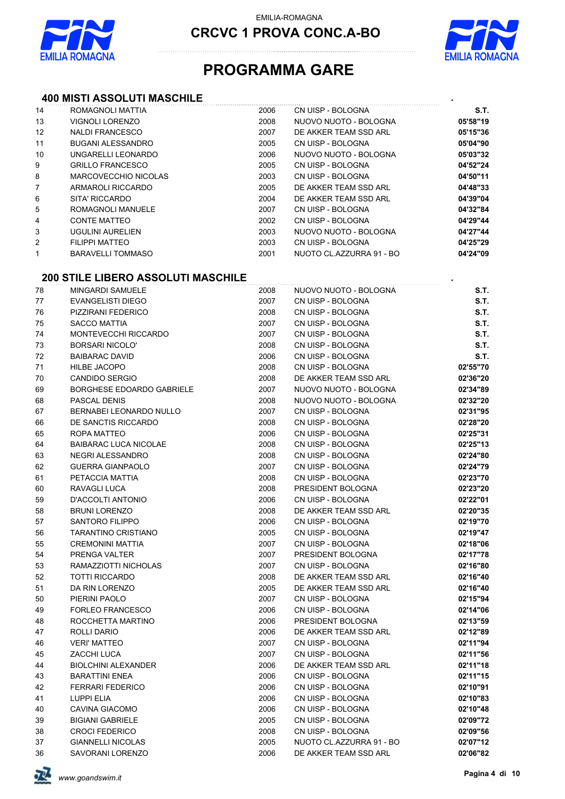

**CRCVC 1 PROVA CONC.A-BO**



# **PROGRAMMA GARE**

#### **400 MISTI ASSOLUTI MASCHILE** *.*

| 14                | ROMAGNOLI MATTIA         | 2006 | CN UISP - BOLOGNA        | <b>S.T.</b> |
|-------------------|--------------------------|------|--------------------------|-------------|
| 13                | <b>VIGNOLI LORENZO</b>   | 2008 | NUOVO NUOTO - BOLOGNA    | 05'58"19    |
| $12 \overline{ }$ | NALDI FRANCESCO          | 2007 | DE AKKER TEAM SSD ARL    | 05'15"36    |
| 11                | <b>BUGANI ALESSANDRO</b> | 2005 | CN UISP - BOLOGNA        | 05'04"90    |
| 10                | UNGARELLI LEONARDO       | 2006 | NUOVO NUOTO - BOLOGNA    | 05'03"32    |
| 9                 | <b>GRILLO FRANCESCO</b>  | 2005 | CN UISP - BOLOGNA        | 04'52"24    |
| 8                 | MARCOVECCHIO NICOLAS     | 2003 | CN UISP - BOLOGNA        | 04'50"11    |
| $\overline{7}$    | ARMAROLI RICCARDO        | 2005 | DE AKKER TEAM SSD ARL    | 04'48"33    |
| 6                 | SITA' RICCARDO           | 2004 | DE AKKER TEAM SSD ARL    | 04'39"04    |
| 5                 | ROMAGNOLI MANUELE        | 2007 | CN UISP - BOLOGNA        | 04'32"84    |
| 4                 | <b>CONTE MATTEO</b>      | 2002 | CN UISP - BOLOGNA        | 04'29"44    |
| 3                 | UGULINI AURELIEN         | 2003 | NUOVO NUOTO - BOLOGNA    | 04'27"44    |
| 2                 | <b>FILIPPI MATTEO</b>    | 2003 | CN UISP - BOLOGNA        | 04'25"29    |
| $\mathbf{1}$      | <b>BARAVELLI TOMMASO</b> | 2001 | NUOTO CL.AZZURRA 91 - BO | 04'24"09    |

#### **200 STILE LIBERO ASSOLUTI MASCHILE** *.*

| 78 | MINGARDI SAMUELE             | 2008 | NUOVO NUOTO - BOLOGNA    | S.T.     |
|----|------------------------------|------|--------------------------|----------|
| 77 | <b>EVANGELISTI DIEGO</b>     | 2007 | CN UISP - BOLOGNA        | S.T.     |
| 76 | PIZZIRANI FEDERICO           | 2008 | CN UISP - BOLOGNA        | S.T.     |
| 75 | <b>SACCO MATTIA</b>          | 2007 | CN UISP - BOLOGNA        | S.T.     |
| 74 | MONTEVECCHI RICCARDO         | 2007 | CN UISP - BOLOGNA        | S.T.     |
| 73 | <b>BORSARI NICOLO'</b>       | 2008 | CN UISP - BOLOGNA        | S.T.     |
| 72 | <b>BAIBARAC DAVID</b>        | 2006 | CN UISP - BOLOGNA        | S.T.     |
| 71 | <b>HILBE JACOPO</b>          | 2008 | CN UISP - BOLOGNA        | 02'55"70 |
| 70 | <b>CANDIDO SERGIO</b>        | 2008 | DE AKKER TEAM SSD ARL    | 02'36"20 |
| 69 | BORGHESE EDOARDO GABRIELE    | 2007 | NUOVO NUOTO - BOLOGNA    | 02'34"89 |
| 68 | PASCAL DENIS                 | 2008 | NUOVO NUOTO - BOLOGNA    | 02'32"20 |
| 67 | BERNABEI LEONARDO NULLO      | 2007 | CN UISP - BOLOGNA        | 02'31"95 |
| 66 | DE SANCTIS RICCARDO          | 2008 | CN UISP - BOLOGNA        | 02'28"20 |
| 65 | ROPA MATTEO                  | 2006 | CN UISP - BOLOGNA        | 02'25"31 |
| 64 | <b>BAIBARAC LUCA NICOLAE</b> | 2008 | CN UISP - BOLOGNA        | 02'25"13 |
| 63 | NEGRI ALESSANDRO             | 2008 | CN UISP - BOLOGNA        | 02'24"80 |
| 62 | <b>GUERRA GIANPAOLO</b>      | 2007 | CN UISP - BOLOGNA        | 02'24"79 |
| 61 | PETACCIA MATTIA              | 2008 | CN UISP - BOLOGNA        | 02'23"70 |
| 60 | RAVAGLI LUCA                 | 2008 | PRESIDENT BOLOGNA        | 02'23"20 |
| 59 | D'ACCOLTI ANTONIO            | 2006 | CN UISP - BOLOGNA        | 02'22"01 |
| 58 | <b>BRUNI LORENZO</b>         | 2008 | DE AKKER TEAM SSD ARL    | 02'20"35 |
| 57 | SANTORO FILIPPO              | 2006 | CN UISP - BOLOGNA        | 02'19"70 |
| 56 | <b>TARANTINO CRISTIANO</b>   | 2005 | CN UISP - BOLOGNA        | 02'19"47 |
| 55 | <b>CREMONINI MATTIA</b>      | 2007 | CN UISP - BOLOGNA        | 02'18"06 |
| 54 | PRENGA VALTER                | 2007 | PRESIDENT BOLOGNA        | 02'17"78 |
| 53 | RAMAZZIOTTI NICHOLAS         | 2007 | CN UISP - BOLOGNA        | 02'16"80 |
| 52 | <b>TOTTI RICCARDO</b>        | 2008 | DE AKKER TEAM SSD ARL    | 02'16"40 |
| 51 | DA RIN LORENZO               | 2005 | DE AKKER TEAM SSD ARL    | 02'16"40 |
| 50 | PIERINI PAOLO                | 2007 | CN UISP - BOLOGNA        | 02'15"94 |
| 49 | <b>FORLEO FRANCESCO</b>      | 2006 | CN UISP - BOLOGNA        | 02'14"06 |
| 48 | ROCCHETTA MARTINO            | 2006 | PRESIDENT BOLOGNA        | 02'13"59 |
| 47 | ROLLI DARIO                  | 2006 | DE AKKER TEAM SSD ARL    | 02'12"89 |
| 46 | <b>VERI' MATTEO</b>          | 2007 | CN UISP - BOLOGNA        | 02'11"94 |
| 45 | ZACCHI LUCA                  | 2007 | CN UISP - BOLOGNA        | 02'11"56 |
| 44 | <b>BIOLCHINI ALEXANDER</b>   | 2006 | DE AKKER TEAM SSD ARL    | 02'11"18 |
| 43 | <b>BARATTINI ENEA</b>        | 2006 | CN UISP - BOLOGNA        | 02'11"15 |
| 42 | <b>FERRARI FEDERICO</b>      | 2006 | CN UISP - BOLOGNA        | 02'10"91 |
| 41 | LUPPI ELIA                   | 2006 | CN UISP - BOLOGNA        | 02'10"83 |
| 40 | CAVINA GIACOMO               | 2006 | CN UISP - BOLOGNA        | 02'10"48 |
| 39 | <b>BIGIANI GABRIELE</b>      | 2005 | CN UISP - BOLOGNA        | 02'09"72 |
| 38 | <b>CROCI FEDERICO</b>        | 2008 | CN UISP - BOLOGNA        | 02'09"56 |
| 37 | <b>GIANNELLI NICOLAS</b>     | 2005 | NUOTO CL.AZZURRA 91 - BO | 02'07"12 |
| 36 | SAVORANI LORENZO             | 2006 | DE AKKER TEAM SSD ARL    | 02'06"82 |

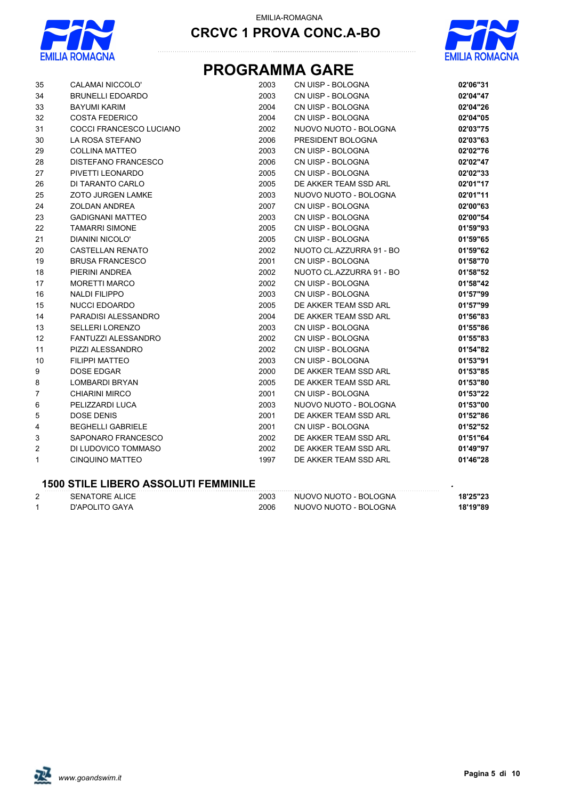



# **PROGRAMMA GARE**

| 35                      | <b>CALAMAI NICCOLO'</b>    | 2003 | CN UISP - BOLOGNA        | 02'06"31 |
|-------------------------|----------------------------|------|--------------------------|----------|
| 34                      | <b>BRUNELLI EDOARDO</b>    | 2003 | CN UISP - BOLOGNA        | 02'04"47 |
| 33                      | <b>BAYUMI KARIM</b>        | 2004 | CN UISP - BOLOGNA        | 02'04"26 |
| 32                      | <b>COSTA FEDERICO</b>      | 2004 | CN UISP - BOLOGNA        | 02'04"05 |
| 31                      | COCCI FRANCESCO LUCIANO    | 2002 | NUOVO NUOTO - BOLOGNA    | 02'03"75 |
| 30                      | LA ROSA STEFANO            | 2006 | PRESIDENT BOLOGNA        | 02'03"63 |
| 29                      | <b>COLLINA MATTEO</b>      | 2003 | CN UISP - BOLOGNA        | 02'02"76 |
| 28                      | <b>DISTEFANO FRANCESCO</b> | 2006 | CN UISP - BOLOGNA        | 02'02"47 |
| 27                      | PIVETTI LEONARDO           | 2005 | CN UISP - BOLOGNA        | 02'02"33 |
| 26                      | DI TARANTO CARLO           | 2005 | DE AKKER TEAM SSD ARL    | 02'01"17 |
| 25                      | <b>ZOTO JURGEN LAMKE</b>   | 2003 | NUOVO NUOTO - BOLOGNA    | 02'01"11 |
| 24                      | <b>ZOLDAN ANDREA</b>       | 2007 | CN UISP - BOLOGNA        | 02'00"63 |
| 23                      | <b>GADIGNANI MATTEO</b>    | 2003 | CN UISP - BOLOGNA        | 02'00"54 |
| 22                      | <b>TAMARRI SIMONE</b>      | 2005 | CN UISP - BOLOGNA        | 01'59"93 |
| 21                      | <b>DIANINI NICOLO'</b>     | 2005 | CN UISP - BOLOGNA        | 01'59"65 |
| 20                      | <b>CASTELLAN RENATO</b>    | 2002 | NUOTO CL.AZZURRA 91 - BO | 01'59"62 |
| 19                      | <b>BRUSA FRANCESCO</b>     | 2001 | CN UISP - BOLOGNA        | 01'58"70 |
| 18                      | PIERINI ANDREA             | 2002 | NUOTO CL.AZZURRA 91 - BO | 01'58"52 |
| 17                      | <b>MORETTI MARCO</b>       | 2002 | CN UISP - BOLOGNA        | 01'58"42 |
| 16                      | <b>NALDI FILIPPO</b>       | 2003 | CN UISP - BOLOGNA        | 01'57"99 |
| 15                      | <b>NUCCI EDOARDO</b>       | 2005 | DE AKKER TEAM SSD ARL    | 01'57"99 |
| 14                      | PARADISI ALESSANDRO        | 2004 | DE AKKER TEAM SSD ARL    | 01'56"83 |
| 13                      | <b>SELLERI LORENZO</b>     | 2003 | CN UISP - BOLOGNA        | 01'55"86 |
| 12                      | FANTUZZI ALESSANDRO        | 2002 | CN UISP - BOLOGNA        | 01'55"83 |
| 11                      | PIZZI ALESSANDRO           | 2002 | CN UISP - BOLOGNA        | 01'54"82 |
| 10                      | <b>FILIPPI MATTEO</b>      | 2003 | CN UISP - BOLOGNA        | 01'53"91 |
| 9                       | DOSE EDGAR                 | 2000 | DE AKKER TEAM SSD ARL    | 01'53"85 |
| 8                       | LOMBARDI BRYAN             | 2005 | DE AKKER TEAM SSD ARL    | 01'53"80 |
| $\overline{7}$          | <b>CHIARINI MIRCO</b>      | 2001 | CN UISP - BOLOGNA        | 01'53"22 |
| 6                       | PELIZZARDI LUCA            | 2003 | NUOVO NUOTO - BOLOGNA    | 01'53"00 |
| $\mathbf 5$             | <b>DOSE DENIS</b>          | 2001 | DE AKKER TEAM SSD ARL    | 01'52"86 |
| $\overline{\mathbf{4}}$ | <b>BEGHELLI GABRIELE</b>   | 2001 | CN UISP - BOLOGNA        | 01'52"52 |
| 3                       | SAPONARO FRANCESCO         | 2002 | DE AKKER TEAM SSD ARL    | 01'51"64 |
| $\overline{c}$          | DI LUDOVICO TOMMASO        | 2002 | DE AKKER TEAM SSD ARL    | 01'49"97 |
| 1                       | <b>CINQUINO MATTEO</b>     | 1997 | DE AKKER TEAM SSD ARL    | 01'46"28 |
|                         |                            |      |                          |          |

#### **1500 STILE LIBERO ASSOLUTI FEMMINILE** *.*

| SENATORE ALICE | 2003 | NUOVO NUOTO - BOLOGNA | 18'25"23 |
|----------------|------|-----------------------|----------|
| D'APOLITO GAYA | 2006 | NUOVO NUOTO - BOLOGNA | 18'19"89 |

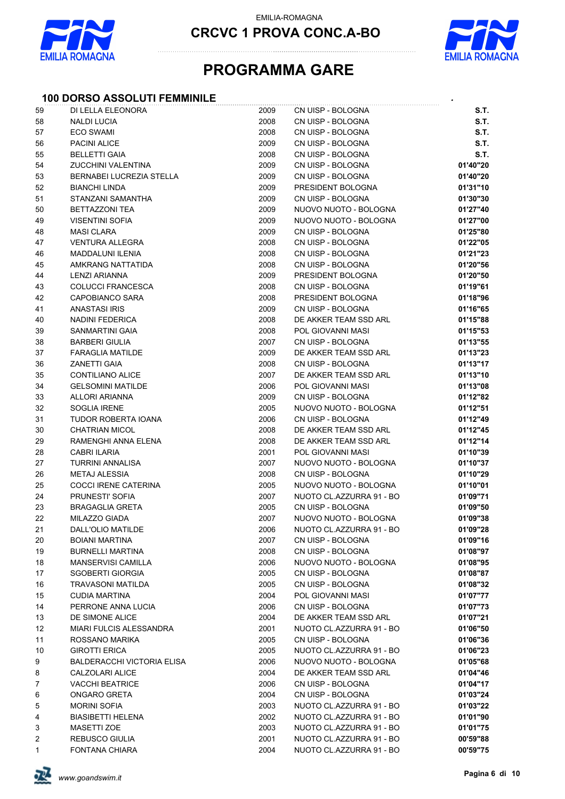

**CRCVC 1 PROVA CONC.A-BO**



## **PROGRAMMA GARE**

#### **100 DORSO ASSOLUTI FEMMINILE** *.*

| 59             | DI LELLA ELEONORA                       | 2009         | CN UISP - BOLOGNA                          | S.T.                 |
|----------------|-----------------------------------------|--------------|--------------------------------------------|----------------------|
| 58             | <b>NALDI LUCIA</b>                      | 2008         | CN UISP - BOLOGNA                          | S.T.                 |
| 57             | <b>ECO SWAMI</b>                        | 2008         | CN UISP - BOLOGNA                          | S.T.                 |
| 56             | <b>PACINI ALICE</b>                     | 2009         | CN UISP - BOLOGNA                          | S.T.                 |
| 55             | <b>BELLETTI GAIA</b>                    | 2008         | CN UISP - BOLOGNA                          | S.T.                 |
| 54             | ZUCCHINI VALENTINA                      | 2009         | CN UISP - BOLOGNA                          | 01'40"20             |
| 53             | BERNABEI LUCREZIA STELLA                | 2009         | CN UISP - BOLOGNA                          | 01'40"20             |
| 52             | <b>BIANCHI LINDA</b>                    | 2009         | PRESIDENT BOLOGNA                          | 01'31"10             |
| 51             | STANZANI SAMANTHA                       | 2009         | CN UISP - BOLOGNA                          | 01'30"30             |
| 50             | <b>BETTAZZONI TEA</b>                   | 2009         | NUOVO NUOTO - BOLOGNA                      | 01'27"40             |
| 49             | <b>VISENTINI SOFIA</b>                  | 2009         | NUOVO NUOTO - BOLOGNA                      | 01'27"00             |
| 48             | <b>MASI CLARA</b>                       | 2009         | CN UISP - BOLOGNA                          | 01'25"80             |
| 47             | <b>VENTURA ALLEGRA</b>                  | 2008         | CN UISP - BOLOGNA                          | 01'22"05             |
| 46             | MADDALUNI ILENIA                        | 2008         | CN UISP - BOLOGNA                          | 01'21"23             |
| 45             | AMKRANG NATTATIDA                       | 2008         | CN UISP - BOLOGNA                          | 01'20"56             |
| 44             | <b>LENZI ARIANNA</b>                    | 2009         | PRESIDENT BOLOGNA                          | 01'20"50             |
| 43             | <b>COLUCCI FRANCESCA</b>                | 2008         | CN UISP - BOLOGNA                          | 01'19"61             |
| 42             | CAPOBIANCO SARA                         | 2008         | PRESIDENT BOLOGNA                          | 01'18"96             |
| 41             | <b>ANASTASI IRIS</b>                    | 2009         | CN UISP - BOLOGNA                          | 01'16"65             |
| 40             | NADINI FEDERICA                         | 2008         | DE AKKER TEAM SSD ARL                      | 01'15"88             |
| 39             | SANMARTINI GAIA                         | 2008         | POL GIOVANNI MASI                          | 01'15"53             |
| 38             | <b>BARBERI GIULIA</b>                   | 2007         | CN UISP - BOLOGNA                          | 01'13"55             |
| 37             | <b>FARAGLIA MATILDE</b>                 | 2009         | DE AKKER TEAM SSD ARL                      | 01'13"23             |
| 36             | <b>ZANETTI GAIA</b>                     | 2008         | CN UISP - BOLOGNA                          | 01'13"17             |
| 35             | <b>CONTILIANO ALICE</b>                 | 2007         | DE AKKER TEAM SSD ARL                      | 01'13"10             |
| 34             | <b>GELSOMINI MATILDE</b>                | 2006         | POL GIOVANNI MASI                          | 01'13"08             |
| 33             | <b>ALLORI ARIANNA</b>                   | 2009         | CN UISP - BOLOGNA                          | 01'12"82             |
| 32             | <b>SOGLIA IRENE</b>                     | 2005         | NUOVO NUOTO - BOLOGNA                      | 01'12"51             |
| 31             | TUDOR ROBERTA IOANA                     | 2006         | CN UISP - BOLOGNA                          | 01'12"49             |
| 30             | <b>CHATRIAN MICOL</b>                   | 2008         | DE AKKER TEAM SSD ARL                      | 01'12"45             |
| 29             | RAMENGHI ANNA ELENA                     | 2008         | DE AKKER TEAM SSD ARL                      | 01'12"14             |
| 28<br>27       | CABRI ILARIA<br><b>TURRINI ANNALISA</b> | 2001<br>2007 | POL GIOVANNI MASI<br>NUOVO NUOTO - BOLOGNA | 01'10"39<br>01'10"37 |
| 26             | <b>METAJ ALESSIA</b>                    | 2008         | CN UISP - BOLOGNA                          | 01'10"29             |
| 25             | COCCI IRENE CATERINA                    | 2005         | NUOVO NUOTO - BOLOGNA                      | 01'10"01             |
| 24             | PRUNESTI' SOFIA                         | 2007         | NUOTO CL.AZZURRA 91 - BO                   | 01'09"71             |
| 23             | <b>BRAGAGLIA GRETA</b>                  | 2005         | CN UISP - BOLOGNA                          | 01'09"50             |
| 22             | MILAZZO GIADA                           | 2007         | NUOVO NUOTO - BOLOGNA                      | 01'09"38             |
| 21             | DALL'OLIO MATILDE                       | 2006         | NUOTO CL.AZZURRA 91 - BO                   | 01'09"28             |
| 20             | BOIANI MARTINA                          | 2007         | CN UISP - BOLOGNA                          | 01'09"16             |
| 19             | BURNELLI MARTINA                        | 2008         | CN UISP - BOLOGNA                          | 01'08"97             |
| 18             | <b>MANSERVISI CAMILLA</b>               | 2006         | NUOVO NUOTO - BOLOGNA                      | 01'08"95             |
| 17             | SGOBERTI GIORGIA                        | 2005         | CN UISP - BOLOGNA                          | 01'08"87             |
| 16             | TRAVASONI MATILDA                       | 2005         | CN UISP - BOLOGNA                          | 01'08"32             |
| 15             | <b>CUDIA MARTINA</b>                    | 2004         | POL GIOVANNI MASI                          | 01'07"77             |
| 14             | PERRONE ANNA LUCIA                      | 2006         | CN UISP - BOLOGNA                          | 01'07"73             |
| 13             | DE SIMONE ALICE                         | 2004         | DE AKKER TEAM SSD ARL                      | 01'07"21             |
| 12             | <b>MIARI FULCIS ALESSANDRA</b>          | 2001         | NUOTO CL.AZZURRA 91 - BO                   | 01'06"50             |
| 11             | ROSSANO MARIKA                          | 2005         | CN UISP - BOLOGNA                          | 01'06"36             |
| 10             | <b>GIROTTI ERICA</b>                    | 2005         | NUOTO CL.AZZURRA 91 - BO                   | 01'06"23             |
| 9              | <b>BALDERACCHI VICTORIA ELISA</b>       | 2006         | NUOVO NUOTO - BOLOGNA                      | 01'05"68             |
| 8              | CALZOLARI ALICE                         | 2004         | DE AKKER TEAM SSD ARL                      | 01'04"46             |
| 7              | <b>VACCHI BEATRICE</b>                  | 2006         | CN UISP - BOLOGNA                          | 01'04"17             |
| 6              | ONGARO GRETA                            | 2004         | CN UISP - BOLOGNA                          | 01'03"24             |
| 5              | <b>MORINI SOFIA</b>                     | 2003         | NUOTO CL.AZZURRA 91 - BO                   | 01'03"22             |
| 4              | <b>BIASIBETTI HELENA</b>                | 2002         | NUOTO CL.AZZURRA 91 - BO                   | 01'01"90             |
| 3              | <b>MASETTI ZOE</b>                      | 2003         | NUOTO CL.AZZURRA 91 - BO                   | 01'01"75             |
| $\overline{2}$ | REBUSCO GIULIA                          | 2001         | NUOTO CL.AZZURRA 91 - BO                   | 00'59"88             |
| 1              | FONTANA CHIARA                          | 2004         | NUOTO CL.AZZURRA 91 - BO                   | 00'59"75             |

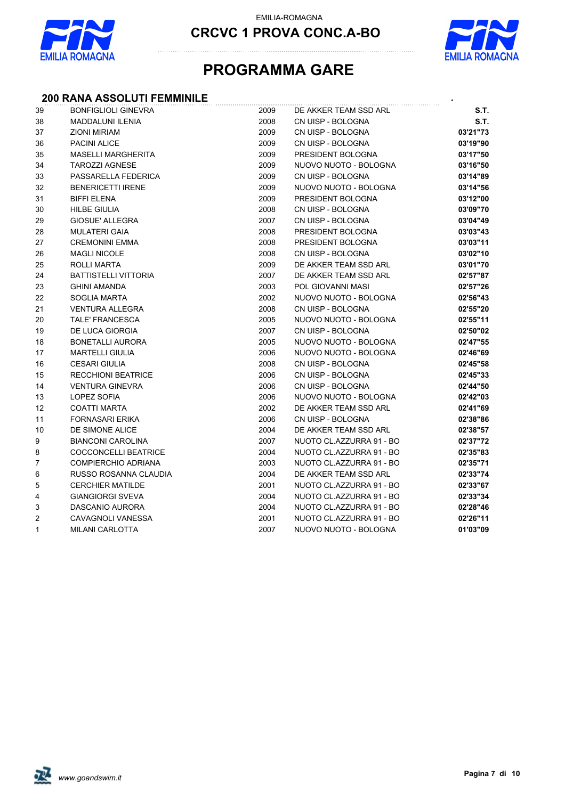

**CRCVC 1 PROVA CONC.A-BO**



# **PROGRAMMA GARE**

#### **200 RANA ASSOLUTI FEMMINILE** *.*

| 39             | <b>BONFIGLIOLI GINEVRA</b>  | 2009 | DE AKKER TEAM SSD ARL    | S.T.     |
|----------------|-----------------------------|------|--------------------------|----------|
| 38             | <b>MADDALUNI ILENIA</b>     | 2008 | CN UISP - BOLOGNA        | S.T.     |
| 37             | <b>ZIONI MIRIAM</b>         | 2009 | CN UISP - BOLOGNA        | 03'21"73 |
| 36             | <b>PACINI ALICE</b>         | 2009 | CN UISP - BOLOGNA        | 03'19"90 |
| 35             | <b>MASELLI MARGHERITA</b>   | 2009 | PRESIDENT BOLOGNA        | 03'17"50 |
| 34             | <b>TAROZZI AGNESE</b>       | 2009 | NUOVO NUOTO - BOLOGNA    | 03'16"50 |
| 33             | PASSARELLA FEDERICA         | 2009 | CN UISP - BOLOGNA        | 03'14"89 |
| 32             | <b>BENERICETTI IRENE</b>    | 2009 | NUOVO NUOTO - BOLOGNA    | 03'14"56 |
| 31             | <b>BIFFI ELENA</b>          | 2009 | PRESIDENT BOLOGNA        | 03'12"00 |
| 30             | <b>HILBE GIULIA</b>         | 2008 | CN UISP - BOLOGNA        | 03'09"70 |
| 29             | GIOSUE' ALLEGRA             | 2007 | CN UISP - BOLOGNA        | 03'04"49 |
| 28             | <b>MULATERI GAIA</b>        | 2008 | PRESIDENT BOLOGNA        | 03'03"43 |
| 27             | <b>CREMONINI EMMA</b>       | 2008 | PRESIDENT BOLOGNA        | 03'03"11 |
| 26             | <b>MAGLI NICOLE</b>         | 2008 | CN UISP - BOLOGNA        | 03'02"10 |
| 25             | ROLLI MARTA                 | 2009 | DE AKKER TEAM SSD ARL    | 03'01"70 |
| 24             | <b>BATTISTELLI VITTORIA</b> | 2007 | DE AKKER TEAM SSD ARL    | 02'57"87 |
| 23             | <b>GHINI AMANDA</b>         | 2003 | POL GIOVANNI MASI        | 02'57"26 |
| 22             | SOGLIA MARTA                | 2002 | NUOVO NUOTO - BOLOGNA    | 02'56"43 |
| 21             | <b>VENTURA ALLEGRA</b>      | 2008 | CN UISP - BOLOGNA        | 02'55"20 |
| 20             | <b>TALE' FRANCESCA</b>      | 2005 | NUOVO NUOTO - BOLOGNA    | 02'55"11 |
| 19             | <b>DE LUCA GIORGIA</b>      | 2007 | CN UISP - BOLOGNA        | 02'50"02 |
| $18$           | <b>BONETALLI AURORA</b>     | 2005 | NUOVO NUOTO - BOLOGNA    | 02'47"55 |
| 17             | <b>MARTELLI GIULIA</b>      | 2006 | NUOVO NUOTO - BOLOGNA    | 02'46"69 |
| 16             | <b>CESARI GIULIA</b>        | 2008 | CN UISP - BOLOGNA        | 02'45"58 |
| 15             | <b>RECCHIONI BEATRICE</b>   | 2006 | CN UISP - BOLOGNA        | 02'45"33 |
| 14             | <b>VENTURA GINEVRA</b>      | 2006 | CN UISP - BOLOGNA        | 02'44"50 |
| 13             | LOPEZ SOFIA                 | 2006 | NUOVO NUOTO - BOLOGNA    | 02'42"03 |
| 12             | <b>COATTI MARTA</b>         | 2002 | DE AKKER TEAM SSD ARL    | 02'41"69 |
| 11             | <b>FORNASARI ERIKA</b>      | 2006 | CN UISP - BOLOGNA        | 02'38"86 |
| 10             | DE SIMONE ALICE             | 2004 | DE AKKER TEAM SSD ARL    | 02'38"57 |
| 9              | <b>BIANCONI CAROLINA</b>    | 2007 | NUOTO CL.AZZURRA 91 - BO | 02'37"72 |
| 8              | COCCONCELLI BEATRICE        | 2004 | NUOTO CL.AZZURRA 91 - BO | 02'35"83 |
| 7              | <b>COMPIERCHIO ADRIANA</b>  | 2003 | NUOTO CL.AZZURRA 91 - BO | 02'35"71 |
| 6              | RUSSO ROSANNA CLAUDIA       | 2004 | DE AKKER TEAM SSD ARL    | 02'33"74 |
| 5              | <b>CERCHIER MATILDE</b>     | 2001 | NUOTO CL.AZZURRA 91 - BO | 02'33"67 |
| 4              | <b>GIANGIORGI SVEVA</b>     | 2004 | NUOTO CL.AZZURRA 91 - BO | 02'33"34 |
| 3              | DASCANIO AURORA             | 2004 | NUOTO CL.AZZURRA 91 - BO | 02'28"46 |
| $\overline{c}$ | CAVAGNOLI VANESSA           | 2001 | NUOTO CL.AZZURRA 91 - BO | 02'26"11 |
| $\mathbf{1}$   | <b>MILANI CARLOTTA</b>      | 2007 | NUOVO NUOTO - BOLOGNA    | 01'03"09 |

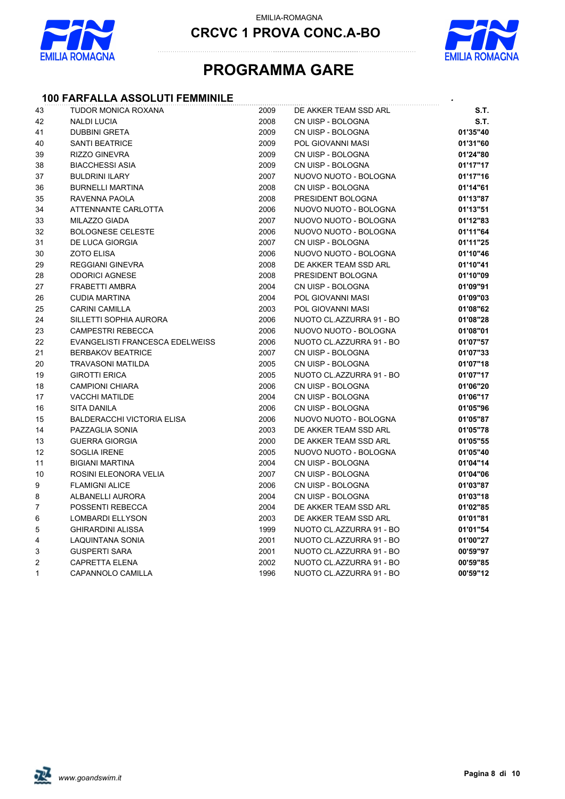

**CRCVC 1 PROVA CONC.A-BO**



### **PROGRAMMA GARE**

#### **100 FARFALLA ASSOLUTI FEMMINILE** *.*

| 43           | TUDOR MONICA ROXANA               | 2009 | DE AKKER TEAM SSD ARL    | S.T.     |
|--------------|-----------------------------------|------|--------------------------|----------|
| 42           | <b>NALDI LUCIA</b>                | 2008 | CN UISP - BOLOGNA        | S.T.     |
| 41           | <b>DUBBINI GRETA</b>              | 2009 | CN UISP - BOLOGNA        | 01'35"40 |
| 40           | <b>SANTI BEATRICE</b>             | 2009 | POL GIOVANNI MASI        | 01'31"60 |
| 39           | RIZZO GINEVRA                     | 2009 | CN UISP - BOLOGNA        | 01'24"80 |
| 38           | <b>BIACCHESSI ASIA</b>            | 2009 | CN UISP - BOLOGNA        | 01'17"17 |
| 37           | <b>BULDRINI ILARY</b>             | 2007 | NUOVO NUOTO - BOLOGNA    | 01'17"16 |
| 36           | <b>BURNELLI MARTINA</b>           | 2008 | CN UISP - BOLOGNA        | 01'14"61 |
| 35           | RAVENNA PAOLA                     | 2008 | PRESIDENT BOLOGNA        | 01'13"87 |
| 34           | <b>ATTENNANTE CARLOTTA</b>        | 2006 | NUOVO NUOTO - BOLOGNA    | 01'13"51 |
| 33           | MILAZZO GIADA                     | 2007 | NUOVO NUOTO - BOLOGNA    | 01'12"83 |
| 32           | <b>BOLOGNESE CELESTE</b>          | 2006 | NUOVO NUOTO - BOLOGNA    | 01'11"64 |
| 31           | DE LUCA GIORGIA                   | 2007 | CN UISP - BOLOGNA        | 01'11"25 |
| 30           | <b>ZOTO ELISA</b>                 | 2006 | NUOVO NUOTO - BOLOGNA    | 01'10"46 |
| 29           | <b>REGGIANI GINEVRA</b>           | 2008 | DE AKKER TEAM SSD ARL    | 01'10"41 |
| 28           | <b>ODORICI AGNESE</b>             | 2008 | PRESIDENT BOLOGNA        | 01'10"09 |
| 27           | FRABETTI AMBRA                    | 2004 | CN UISP - BOLOGNA        | 01'09"91 |
| 26           | <b>CUDIA MARTINA</b>              | 2004 | POL GIOVANNI MASI        | 01'09"03 |
| 25           | <b>CARINI CAMILLA</b>             | 2003 | POL GIOVANNI MASI        | 01'08"62 |
| 24           | SILLETTI SOPHIA AURORA            | 2006 | NUOTO CL.AZZURRA 91 - BO | 01'08"28 |
| 23           | <b>CAMPESTRI REBECCA</b>          | 2006 | NUOVO NUOTO - BOLOGNA    | 01'08"01 |
| 22           | EVANGELISTI FRANCESCA EDELWEISS   | 2006 | NUOTO CL.AZZURRA 91 - BO | 01'07"57 |
| 21           | <b>BERBAKOV BEATRICE</b>          | 2007 | CN UISP - BOLOGNA        | 01'07"33 |
| 20           | TRAVASONI MATILDA                 | 2005 | CN UISP - BOLOGNA        | 01'07"18 |
| 19           | <b>GIROTTI ERICA</b>              | 2005 | NUOTO CL.AZZURRA 91 - BO | 01'07"17 |
| 18           | <b>CAMPIONI CHIARA</b>            | 2006 | CN UISP - BOLOGNA        | 01'06"20 |
| 17           | <b>VACCHI MATILDE</b>             | 2004 | CN UISP - BOLOGNA        | 01'06"17 |
| 16           | <b>SITA DANILA</b>                | 2006 | CN UISP - BOLOGNA        | 01'05"96 |
| 15           | <b>BALDERACCHI VICTORIA ELISA</b> | 2006 | NUOVO NUOTO - BOLOGNA    | 01'05"87 |
| 14           | PAZZAGLIA SONIA                   | 2003 | DE AKKER TEAM SSD ARL    | 01'05"78 |
| 13           | <b>GUERRA GIORGIA</b>             | 2000 | DE AKKER TEAM SSD ARL    | 01'05"55 |
| 12           | SOGLIA IRENE                      | 2005 | NUOVO NUOTO - BOLOGNA    | 01'05"40 |
| 11           | <b>BIGIANI MARTINA</b>            | 2004 | CN UISP - BOLOGNA        | 01'04"14 |
| 10           | ROSINI ELEONORA VELIA             | 2007 | CN UISP - BOLOGNA        | 01'04"06 |
| 9            | <b>FLAMIGNI ALICE</b>             | 2006 | CN UISP - BOLOGNA        | 01'03"87 |
| 8            | ALBANELLI AURORA                  | 2004 | CN UISP - BOLOGNA        | 01'03"18 |
| 7            | POSSENTI REBECCA                  | 2004 | DE AKKER TEAM SSD ARL    | 01'02"85 |
| 6            | <b>LOMBARDI ELLYSON</b>           | 2003 | DE AKKER TEAM SSD ARL    | 01'01"81 |
| 5            | <b>GHIRARDINI ALISSA</b>          | 1999 | NUOTO CL.AZZURRA 91 - BO | 01'01"54 |
| 4            | <b>LAQUINTANA SONIA</b>           | 2001 | NUOTO CL.AZZURRA 91 - BO | 01'00"27 |
| 3            | <b>GUSPERTI SARA</b>              | 2001 | NUOTO CL.AZZURRA 91 - BO | 00'59"97 |
| 2            | <b>CAPRETTA ELENA</b>             | 2002 | NUOTO CL.AZZURRA 91 - BO | 00'59"85 |
| $\mathbf{1}$ | CAPANNOLO CAMILLA                 | 1996 | NUOTO CL.AZZURRA 91 - BO | 00'59"12 |

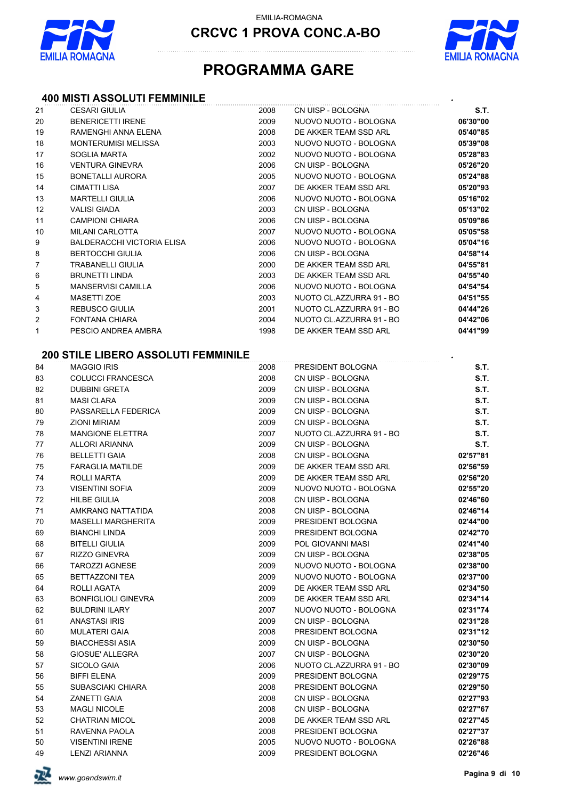

**CRCVC 1 PROVA CONC.A-BO**



# **PROGRAMMA GARE**

#### **400 MISTI ASSOLUTI FEMMINILE** *.*

| 21       | <b>CESARI GIULIA</b>                       | 2008         | CN UISP - BOLOGNA                             | S.T.                 |
|----------|--------------------------------------------|--------------|-----------------------------------------------|----------------------|
| 20       | <b>BENERICETTI IRENE</b>                   | 2009         | NUOVO NUOTO - BOLOGNA                         | 06'30"00             |
| 19       | RAMENGHI ANNA ELENA                        | 2008         | DE AKKER TEAM SSD ARL                         | 05'40"85             |
| 18       | <b>MONTERUMISI MELISSA</b>                 | 2003         | NUOVO NUOTO - BOLOGNA                         | 05'39"08             |
| 17       | <b>SOGLIA MARTA</b>                        | 2002         | NUOVO NUOTO - BOLOGNA                         | 05'28"83             |
| 16       | <b>VENTURA GINEVRA</b>                     | 2006         | CN UISP - BOLOGNA                             | 05'26"20             |
| 15       | <b>BONETALLI AURORA</b>                    | 2005         | NUOVO NUOTO - BOLOGNA                         | 05'24"88             |
| 14       | <b>CIMATTI LISA</b>                        | 2007         | DE AKKER TEAM SSD ARL                         | 05'20"93             |
| 13       | <b>MARTELLI GIULIA</b>                     | 2006         | NUOVO NUOTO - BOLOGNA                         | 05'16"02             |
| 12       | <b>VALISI GIADA</b>                        | 2003         | CN UISP - BOLOGNA                             | 05'13"02             |
| 11       | <b>CAMPIONI CHIARA</b>                     | 2006         | CN UISP - BOLOGNA                             | 05'09"86             |
| 10       | <b>MILANI CARLOTTA</b>                     | 2007         | NUOVO NUOTO - BOLOGNA                         | 05'05"58             |
| 9        | <b>BALDERACCHI VICTORIA ELISA</b>          | 2006         | NUOVO NUOTO - BOLOGNA                         | 05'04"16             |
| 8        | <b>BERTOCCHI GIULIA</b>                    | 2006         | CN UISP - BOLOGNA                             | 04'58"14             |
| 7        | <b>TRABANELLI GIULIA</b>                   | 2000         | DE AKKER TEAM SSD ARL                         | 04'55"81             |
| 6        | <b>BRUNETTI LINDA</b>                      | 2003         | DE AKKER TEAM SSD ARL                         | 04'55"40             |
| 5        | <b>MANSERVISI CAMILLA</b>                  | 2006         | NUOVO NUOTO - BOLOGNA                         | 04'54"54             |
| 4        | <b>MASETTI ZOE</b>                         | 2003         | NUOTO CL.AZZURRA 91 - BO                      | 04'51"55             |
| 3        | REBUSCO GIULIA                             | 2001         | NUOTO CL.AZZURRA 91 - BO                      | 04'44"26             |
| 2        | <b>FONTANA CHIARA</b>                      | 2004         | NUOTO CL.AZZURRA 91 - BO                      | 04'42"06             |
| 1        | PESCIO ANDREA AMBRA                        | 1998         | DE AKKER TEAM SSD ARL                         | 04'41"99             |
|          | <b>200 STILE LIBERO ASSOLUTI FEMMINILE</b> |              |                                               |                      |
| 84       | <b>MAGGIO IRIS</b>                         | 2008         | PRESIDENT BOLOGNA                             | S.T.                 |
| 83       | <b>COLUCCI FRANCESCA</b>                   | 2008         | CN UISP - BOLOGNA                             | S.T.                 |
| 82       | <b>DUBBINI GRETA</b>                       | 2009         | CN UISP - BOLOGNA                             | S.T.                 |
| 81       | <b>MASI CLARA</b>                          | 2009         | CN UISP - BOLOGNA                             | S.T.                 |
| 80       | PASSARELLA FEDERICA                        | 2009         | CN UISP - BOLOGNA                             | S.T.                 |
| 79       | ZIONI MIRIAM                               | 2009         | CN UISP - BOLOGNA                             | S.T.                 |
| 78       | <b>MANGIONE ELETTRA</b>                    | 2007         | NUOTO CL.AZZURRA 91 - BO                      | S.T.                 |
| 77       | <b>ALLORI ARIANNA</b>                      | 2009         | CN UISP - BOLOGNA                             | S.T.                 |
| 76       | <b>BELLETTI GAIA</b>                       | 2008         | CN UISP - BOLOGNA                             | 02'57"81             |
| 75       | <b>FARAGLIA MATILDE</b>                    | 2009         | DE AKKER TEAM SSD ARL                         | 02'56"59             |
| 74       | <b>ROLLI MARTA</b>                         | 2009         | DE AKKER TEAM SSD ARL                         | 02'56"20             |
| 73       | <b>VISENTINI SOFIA</b>                     | 2009         | NUOVO NUOTO - BOLOGNA                         | 02'55"20             |
| 72       | <b>HILBE GIULIA</b>                        | 2008         | CN UISP - BOLOGNA                             | 02'46"60             |
| 71       | AMKRANG NATTATIDA                          | 2008         | CN UISP - BOLOGNA                             | 02'46"14             |
| 70       | <b>MASELLI MARGHERITA</b>                  | 2009         | PRESIDENT BOLOGNA                             | 02'44"00             |
| 69       | <b>BIANCHI LINDA</b>                       | 2009         | PRESIDENT BOLOGNA                             | 02'42"70             |
| 68       | <b>BITELLI GIULIA</b>                      | 2009         | POL GIOVANNI MASI                             | 02'41"40             |
| 67       | RIZZO GINEVRA                              | 2009         | CN UISP - BOLOGNA                             | 02'38"05             |
| 66       | TAROZZI AGNESE                             | 2009         | NUOVO NUOTO - BOLOGNA                         | 02'38"00             |
| 65       | <b>BETTAZZONI TEA</b>                      | 2009         | NUOVO NUOTO - BOLOGNA                         | 02'37"00             |
| 64       | ROLLI AGATA                                | 2009         | DE AKKER TEAM SSD ARL                         | 02'34"50             |
| 63       | <b>BONFIGLIOLI GINEVRA</b>                 | 2009         | DE AKKER TEAM SSD ARL                         | 02'34"14             |
| 62       | <b>BULDRINI ILARY</b>                      | 2007         | NUOVO NUOTO - BOLOGNA                         | 02'31"74             |
| 61       | ANASTASI IRIS                              | 2009         | CN UISP - BOLOGNA                             | 02'31"28             |
| 60       | <b>MULATERI GAIA</b>                       | 2008         | PRESIDENT BOLOGNA                             | 02'31"12             |
| 59       | <b>BIACCHESSI ASIA</b>                     | 2009         | CN UISP - BOLOGNA                             | 02'30"50             |
| 58       | GIOSUE' ALLEGRA                            | 2007         | CN UISP - BOLOGNA                             | 02'30"20             |
| 57       | SICOLO GAIA<br>BIFFI ELENA                 | 2006<br>2009 | NUOTO CL.AZZURRA 91 - BO<br>PRESIDENT BOLOGNA | 02'30"09<br>02'29"75 |
| 56       | SUBASCIAKI CHIARA                          | 2008         | PRESIDENT BOLOGNA                             | 02'29"50             |
| 55<br>54 | ZANETTI GAIA                               | 2008         | CN UISP - BOLOGNA                             | 02'27"93             |
| 53       | <b>MAGLI NICOLE</b>                        | 2008         | CN UISP - BOLOGNA                             | 02'27"67             |
| 52       | <b>CHATRIAN MICOL</b>                      | 2008         | DE AKKER TEAM SSD ARL                         | 02'27"45             |
| 51       | RAVENNA PAOLA                              | 2008         | PRESIDENT BOLOGNA                             | 02'27"37             |
| 50       | <b>VISENTINI IRENE</b>                     | 2005         | NUOVO NUOTO - BOLOGNA                         | 02'26"88             |
| 49       | <b>LENZI ARIANNA</b>                       | 2009         | PRESIDENT BOLOGNA                             | 02'26"46             |
|          |                                            |              |                                               |                      |